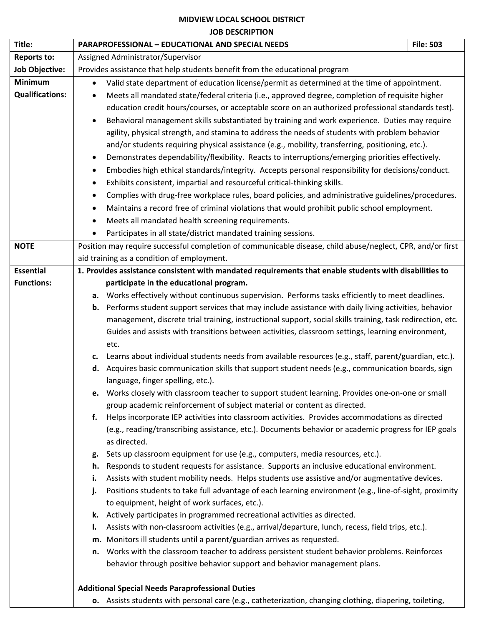## **MIDVIEW LOCAL SCHOOL DISTRICT**

## **JOB DESCRIPTION**

| Title:                 | <b>PARAPROFESSIONAL - EDUCATIONAL AND SPECIAL NEEDS</b>                                                                                                       | <b>File: 503</b>                                                                                           |  |
|------------------------|---------------------------------------------------------------------------------------------------------------------------------------------------------------|------------------------------------------------------------------------------------------------------------|--|
| <b>Reports to:</b>     | Assigned Administrator/Supervisor                                                                                                                             |                                                                                                            |  |
| <b>Job Objective:</b>  | Provides assistance that help students benefit from the educational program                                                                                   |                                                                                                            |  |
| <b>Minimum</b>         | Valid state department of education license/permit as determined at the time of appointment.                                                                  |                                                                                                            |  |
| <b>Qualifications:</b> | Meets all mandated state/federal criteria (i.e., approved degree, completion of requisite higher                                                              |                                                                                                            |  |
|                        | education credit hours/courses, or acceptable score on an authorized professional standards test).                                                            |                                                                                                            |  |
|                        | Behavioral management skills substantiated by training and work experience. Duties may require<br>$\bullet$                                                   |                                                                                                            |  |
|                        | agility, physical strength, and stamina to address the needs of students with problem behavior                                                                |                                                                                                            |  |
|                        | and/or students requiring physical assistance (e.g., mobility, transferring, positioning, etc.).                                                              |                                                                                                            |  |
|                        | Demonstrates dependability/flexibility. Reacts to interruptions/emerging priorities effectively.<br>$\bullet$                                                 |                                                                                                            |  |
|                        | Embodies high ethical standards/integrity. Accepts personal responsibility for decisions/conduct.<br>٠                                                        |                                                                                                            |  |
|                        | Exhibits consistent, impartial and resourceful critical-thinking skills.                                                                                      |                                                                                                            |  |
|                        | $\bullet$                                                                                                                                                     | Complies with drug-free workplace rules, board policies, and administrative guidelines/procedures.         |  |
|                        | ٠                                                                                                                                                             | Maintains a record free of criminal violations that would prohibit public school employment.               |  |
|                        | Meets all mandated health screening requirements.                                                                                                             |                                                                                                            |  |
|                        | Participates in all state/district mandated training sessions.                                                                                                |                                                                                                            |  |
| <b>NOTE</b>            | Position may require successful completion of communicable disease, child abuse/neglect, CPR, and/or first                                                    |                                                                                                            |  |
|                        | aid training as a condition of employment.                                                                                                                    |                                                                                                            |  |
| <b>Essential</b>       | 1. Provides assistance consistent with mandated requirements that enable students with disabilities to                                                        |                                                                                                            |  |
| <b>Functions:</b>      | participate in the educational program.                                                                                                                       |                                                                                                            |  |
|                        | Works effectively without continuous supervision. Performs tasks efficiently to meet deadlines.<br>а.                                                         |                                                                                                            |  |
|                        | <b>b.</b> Performs student support services that may include assistance with daily living activities, behavior                                                |                                                                                                            |  |
|                        | Guides and assists with transitions between activities, classroom settings, learning environment,                                                             | management, discrete trial training, instructional support, social skills training, task redirection, etc. |  |
|                        | etc.                                                                                                                                                          |                                                                                                            |  |
|                        | Learns about individual students needs from available resources (e.g., staff, parent/guardian, etc.).<br>c.                                                   |                                                                                                            |  |
|                        | Acquires basic communication skills that support student needs (e.g., communication boards, sign<br>d.                                                        |                                                                                                            |  |
|                        | language, finger spelling, etc.).                                                                                                                             |                                                                                                            |  |
|                        | e. Works closely with classroom teacher to support student learning. Provides one-on-one or small                                                             |                                                                                                            |  |
|                        | group academic reinforcement of subject material or content as directed.                                                                                      |                                                                                                            |  |
|                        | Helps incorporate IEP activities into classroom activities. Provides accommodations as directed<br>f.                                                         |                                                                                                            |  |
|                        | (e.g., reading/transcribing assistance, etc.). Documents behavior or academic progress for IEP goals                                                          |                                                                                                            |  |
|                        | as directed.                                                                                                                                                  |                                                                                                            |  |
|                        | Sets up classroom equipment for use (e.g., computers, media resources, etc.).<br>g.                                                                           |                                                                                                            |  |
|                        | Responds to student requests for assistance. Supports an inclusive educational environment.<br>h.                                                             |                                                                                                            |  |
|                        | Assists with student mobility needs. Helps students use assistive and/or augmentative devices.<br>ı.                                                          |                                                                                                            |  |
|                        | Positions students to take full advantage of each learning environment (e.g., line-of-sight, proximity<br>j.<br>to equipment, height of work surfaces, etc.). |                                                                                                            |  |
|                        | Actively participates in programmed recreational activities as directed.<br>k.                                                                                |                                                                                                            |  |
|                        | Assists with non-classroom activities (e.g., arrival/departure, lunch, recess, field trips, etc.).<br>ı.                                                      |                                                                                                            |  |
|                        | Monitors ill students until a parent/guardian arrives as requested.<br>m.                                                                                     |                                                                                                            |  |
|                        | Works with the classroom teacher to address persistent student behavior problems. Reinforces<br>n.                                                            |                                                                                                            |  |
|                        | behavior through positive behavior support and behavior management plans.                                                                                     |                                                                                                            |  |
|                        |                                                                                                                                                               |                                                                                                            |  |
|                        | <b>Additional Special Needs Paraprofessional Duties</b>                                                                                                       |                                                                                                            |  |
|                        | o. Assists students with personal care (e.g., catheterization, changing clothing, diapering, toileting,                                                       |                                                                                                            |  |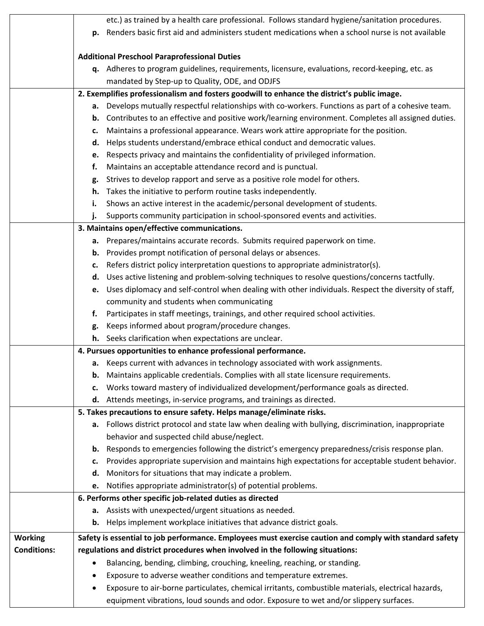|                    | etc.) as trained by a health care professional. Follows standard hygiene/sanitation procedures.                                                                                                          |  |  |  |
|--------------------|----------------------------------------------------------------------------------------------------------------------------------------------------------------------------------------------------------|--|--|--|
|                    | p. Renders basic first aid and administers student medications when a school nurse is not available                                                                                                      |  |  |  |
|                    | <b>Additional Preschool Paraprofessional Duties</b>                                                                                                                                                      |  |  |  |
|                    | q. Adheres to program guidelines, requirements, licensure, evaluations, record-keeping, etc. as                                                                                                          |  |  |  |
|                    | mandated by Step-up to Quality, ODE, and ODJFS                                                                                                                                                           |  |  |  |
|                    | 2. Exemplifies professionalism and fosters goodwill to enhance the district's public image.                                                                                                              |  |  |  |
|                    | Develops mutually respectful relationships with co-workers. Functions as part of a cohesive team.<br>а.                                                                                                  |  |  |  |
|                    | Contributes to an effective and positive work/learning environment. Completes all assigned duties.<br>b.                                                                                                 |  |  |  |
|                    | Maintains a professional appearance. Wears work attire appropriate for the position.<br>c.                                                                                                               |  |  |  |
|                    | Helps students understand/embrace ethical conduct and democratic values.<br>d.                                                                                                                           |  |  |  |
|                    | Respects privacy and maintains the confidentiality of privileged information.<br>e.                                                                                                                      |  |  |  |
|                    | Maintains an acceptable attendance record and is punctual.<br>f.                                                                                                                                         |  |  |  |
|                    | Strives to develop rapport and serve as a positive role model for others.<br>g.                                                                                                                          |  |  |  |
|                    | Takes the initiative to perform routine tasks independently.<br>h.                                                                                                                                       |  |  |  |
|                    | Shows an active interest in the academic/personal development of students.<br>i.                                                                                                                         |  |  |  |
|                    | Supports community participation in school-sponsored events and activities.<br>j.                                                                                                                        |  |  |  |
|                    | 3. Maintains open/effective communications.                                                                                                                                                              |  |  |  |
|                    | Prepares/maintains accurate records. Submits required paperwork on time.<br>а.                                                                                                                           |  |  |  |
|                    | Provides prompt notification of personal delays or absences.<br>b.                                                                                                                                       |  |  |  |
|                    | Refers district policy interpretation questions to appropriate administrator(s).<br>c.                                                                                                                   |  |  |  |
|                    | Uses active listening and problem-solving techniques to resolve questions/concerns tactfully.<br>d.                                                                                                      |  |  |  |
|                    | Uses diplomacy and self-control when dealing with other individuals. Respect the diversity of staff,<br>e.                                                                                               |  |  |  |
|                    | community and students when communicating                                                                                                                                                                |  |  |  |
|                    | Participates in staff meetings, trainings, and other required school activities.<br>f.                                                                                                                   |  |  |  |
|                    | Keeps informed about program/procedure changes.<br>g.                                                                                                                                                    |  |  |  |
|                    | h. Seeks clarification when expectations are unclear.                                                                                                                                                    |  |  |  |
|                    | 4. Pursues opportunities to enhance professional performance.                                                                                                                                            |  |  |  |
|                    | a. Keeps current with advances in technology associated with work assignments.                                                                                                                           |  |  |  |
|                    | Maintains applicable credentials. Complies with all state licensure requirements.<br>b.                                                                                                                  |  |  |  |
|                    | Works toward mastery of individualized development/performance goals as directed.<br>c.                                                                                                                  |  |  |  |
|                    | d. Attends meetings, in-service programs, and trainings as directed.                                                                                                                                     |  |  |  |
|                    | 5. Takes precautions to ensure safety. Helps manage/eliminate risks.                                                                                                                                     |  |  |  |
|                    | a. Follows district protocol and state law when dealing with bullying, discrimination, inappropriate                                                                                                     |  |  |  |
|                    | behavior and suspected child abuse/neglect.                                                                                                                                                              |  |  |  |
|                    | Responds to emergencies following the district's emergency preparedness/crisis response plan.<br>b.<br>Provides appropriate supervision and maintains high expectations for acceptable student behavior. |  |  |  |
|                    | c.<br>Monitors for situations that may indicate a problem.<br>d.                                                                                                                                         |  |  |  |
|                    | Notifies appropriate administrator(s) of potential problems.<br>e.                                                                                                                                       |  |  |  |
|                    | 6. Performs other specific job-related duties as directed                                                                                                                                                |  |  |  |
|                    | a. Assists with unexpected/urgent situations as needed.                                                                                                                                                  |  |  |  |
|                    | b. Helps implement workplace initiatives that advance district goals.                                                                                                                                    |  |  |  |
|                    |                                                                                                                                                                                                          |  |  |  |
| <b>Working</b>     | Safety is essential to job performance. Employees must exercise caution and comply with standard safety                                                                                                  |  |  |  |
| <b>Conditions:</b> | regulations and district procedures when involved in the following situations:                                                                                                                           |  |  |  |
|                    | Balancing, bending, climbing, crouching, kneeling, reaching, or standing.                                                                                                                                |  |  |  |
|                    | Exposure to adverse weather conditions and temperature extremes.                                                                                                                                         |  |  |  |
|                    | Exposure to air-borne particulates, chemical irritants, combustible materials, electrical hazards,                                                                                                       |  |  |  |
|                    | equipment vibrations, loud sounds and odor. Exposure to wet and/or slippery surfaces.                                                                                                                    |  |  |  |